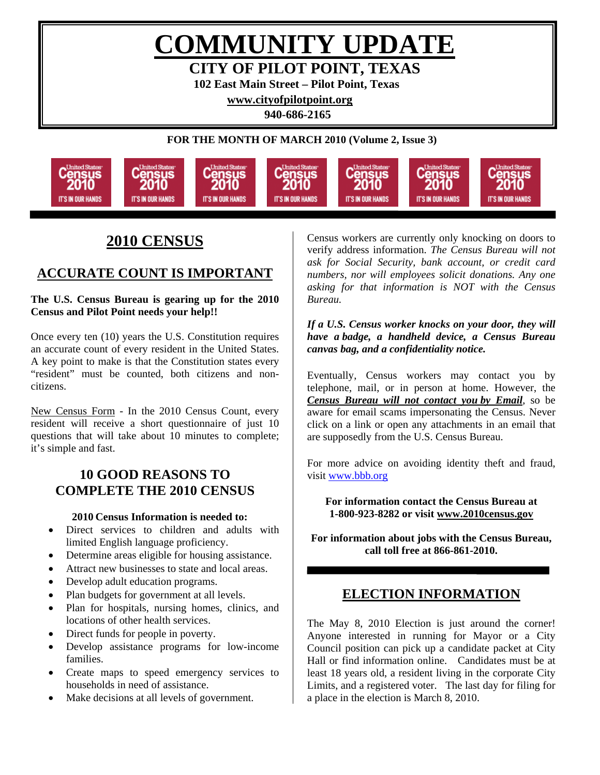**COMMUNITY UPDATE CITY OF PILOT POINT, TEXAS** 

**102 East Main Street – Pilot Point, Texas** 

**[www.cityofpilotpoint.org](http://www.cityofpilotpoint.org/)** 

**940-686-2165** 

**FOR THE MONTH OF MARCH 2010 (Volume 2, Issue 3)** 



# **2010 CENSUS**

# **ACCURATE COUNT IS IMPORTANT**

**The U.S. Census Bureau is gearing up for the 2010 Census and Pilot Point needs your help!!** 

Once every ten (10) years the U.S. Constitution requires an accurate count of every resident in the United States. A key point to make is that the Constitution states every "resident" must be counted, both citizens and noncitizens.

New Census Form - In the 2010 Census Count, every resident will receive a short questionnaire of just 10 questions that will take about 10 minutes to complete; it's simple and fast.

## **10 GOOD REASONS TO COMPLETE THE 2010 CENSUS**

#### **2010 Census Information is needed to:**

- Direct services to children and adults with limited English language proficiency.
- Determine areas eligible for housing assistance.
- Attract new businesses to state and local areas.
- Develop adult education programs.
- Plan budgets for government at all levels.
- Plan for hospitals, nursing homes, clinics, and locations of other health services.
- Direct funds for people in poverty.
- Develop assistance programs for low-income families.
- Create maps to speed emergency services to households in need of assistance.
- Make decisions at all levels of government.

Census workers are currently only knocking on doors to verify address information. *The Census Bureau will not ask for Social Security, bank account, or credit card numbers, nor will employees solicit donations. Any one asking for that information is NOT with the Census Bureau.* 

*If a U.S. Census worker knocks on your door, they will have a badge, a handheld device, a Census Bureau canvas bag, and a confidentiality notice.*

Eventually, Census workers may contact you by telephone, mail, or in person at home. However, the *Census Bureau will not contact you by Email*, so be aware for email scams impersonating the Census. Never click on a link or open any attachments in an email that are supposedly from the U.S. Census Bureau.

For more advice on avoiding identity theft and fraud, visit [www.bbb.org](http://www.bbb.org/)

#### **For information contact the Census Bureau at 1-800-923-8282 or visit [www.2010census.gov](http://www.2010census.gov/)**

**For information about jobs with the Census Bureau, call toll free at 866-861-2010.** 

## **ELECTION INFORMATION**

2010

The May 8, 2010 Election is just around the corner! Anyone interested in running for Mayor or a City Council position can pick up a candidate packet at City Hall or find information online. Candidates must be at least 18 years old, a resident living in the corporate City Limits, and a registered voter. The last day for filing for a place in the election is March 8, 2010.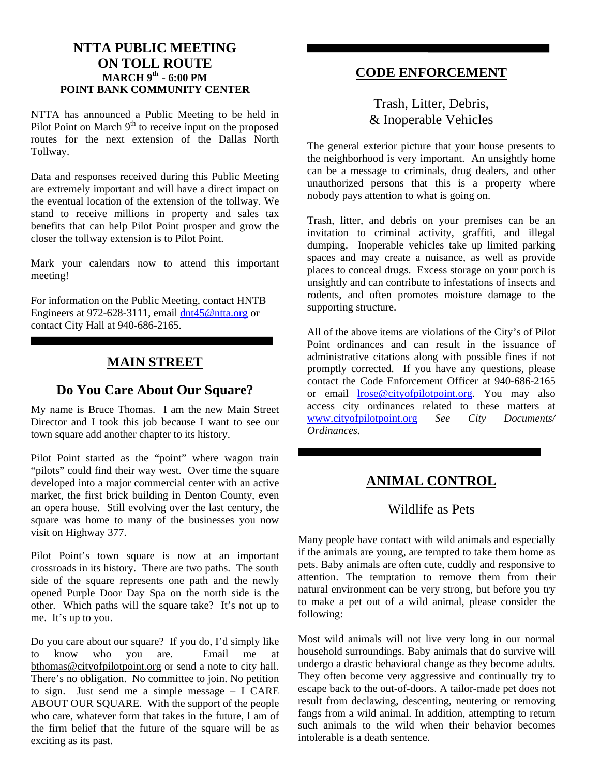### **NTTA PUBLIC MEETING ON TOLL ROUTE MARCH 9th - 6:00 PM POINT BANK COMMUNITY CENTER**

NTTA has announced a Public Meeting to be held in Pilot Point on March  $9<sup>th</sup>$  to receive input on the proposed routes for the next extension of the Dallas North Tollway.

Data and responses received during this Public Meeting are extremely important and will have a direct impact on the eventual location of the extension of the tollway. We stand to receive millions in property and sales tax benefits that can help Pilot Point prosper and grow the closer the tollway extension is to Pilot Point.

Mark your calendars now to attend this important meeting!

For information on the Public Meeting, contact HNTB Engineers at 972-628-3111, email [dnt45@ntta.org](mailto:dnt45@ntta.org) or contact City Hall at 940-686-2165.

## **MAIN STREET**

## **Do You Care About Our Square?**

My name is Bruce Thomas. I am the new Main Street Director and I took this job because I want to see our town square add another chapter to its history.

Pilot Point started as the "point" where wagon train "pilots" could find their way west. Over time the square developed into a major commercial center with an active market, the first brick building in Denton County, even an opera house. Still evolving over the last century, the square was home to many of the businesses you now visit on Highway 377.

Pilot Point's town square is now at an important crossroads in its history. There are two paths. The south side of the square represents one path and the newly opened Purple Door Day Spa on the north side is the other. Which paths will the square take? It's not up to me. It's up to you.

Do you care about our square? If you do, I'd simply like to know who you are. Email me at [bthomas@cityofpilotpoint.org](mailto:bthomas@cityofpilotpoint.org) or send a note to city hall. There's no obligation. No committee to join. No petition to sign. Just send me a simple message – I CARE ABOUT OUR SQUARE. With the support of the people who care, whatever form that takes in the future,  $\overline{I}$  am of the firm belief that the future of the square will be as exciting as its past.

## **CODE ENFORCEMENT**

## Trash, Litter, Debris, & Inoperable Vehicles

The general exterior picture that your house presents to the neighborhood is very important. An unsightly home can be a message to criminals, drug dealers, and other unauthorized persons that this is a property where nobody pays attention to what is going on.

Trash, litter, and debris on your premises can be an invitation to criminal activity, graffiti, and illegal dumping. Inoperable vehicles take up limited parking spaces and may create a nuisance, as well as provide places to conceal drugs. Excess storage on your porch is unsightly and can contribute to infestations of insects and rodents, and often promotes moisture damage to the supporting structure.

All of the above items are violations of the City's of Pilot Point ordinances and can result in the issuance of administrative citations along with possible fines if not promptly corrected. If you have any questions, please contact the Code Enforcement Officer at 940-686-2165 or email [lrose@cityofpilotpoint.org](mailto:lrose@cityofpilotpoint.org). You may also access city ordinances related to these matters at<br>www.cityofpilotpoint.org See City Documents/ [www.cityofpilotpoint.org](http://www.cityofpilotpoint.org/) *See City Ordinances.* 

# **ANIMAL CONTROL**

## Wildlife as Pets

Many people have contact with wild animals and especially if the animals are young, are tempted to take them home as pets. Baby animals are often cute, cuddly and responsive to attention. The temptation to remove them from their natural environment can be very strong, but before you try to make a pet out of a wild animal, please consider the following:

Most wild animals will not live very long in our normal household surroundings. Baby animals that do survive will undergo a drastic behavioral change as they become adults. They often become very aggressive and continually try to escape back to the out-of-doors. A tailor-made pet does not result from declawing, descenting, neutering or removing fangs from a wild animal. In addition, attempting to return such animals to the wild when their behavior becomes intolerable is a death sentence.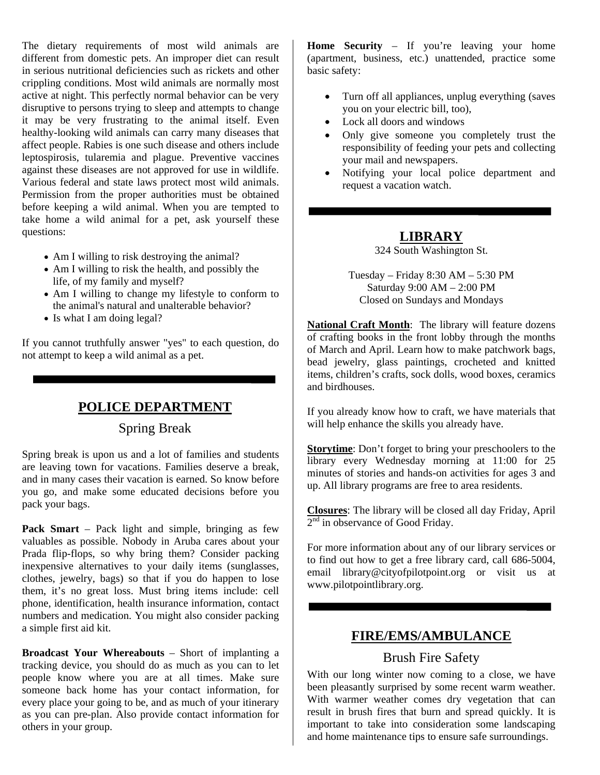The dietary requirements of most wild animals are different from domestic pets. An improper diet can result in serious nutritional deficiencies such as rickets and other crippling conditions. Most wild animals are normally most active at night. This perfectly normal behavior can be very disruptive to persons trying to sleep and attempts to change it may be very frustrating to the animal itself. Even healthy-looking wild animals can carry many diseases that affect people. Rabies is one such disease and others include leptospirosis, tularemia and plague. Preventive vaccines against these diseases are not approved for use in wildlife. Various federal and state laws protect most wild animals. Permission from the proper authorities must be obtained before keeping a wild animal. When you are tempted to take home a wild animal for a pet, ask yourself these questions:

- Am I willing to risk destroying the animal?
- Am I willing to risk the health, and possibly the life, of my family and myself?
- Am I willing to change my lifestyle to conform to the animal's natural and unalterable behavior?
- Is what I am doing legal?

If you cannot truthfully answer "yes" to each question, do not attempt to keep a wild animal as a pet.

## **POLICE DEPARTMENT**

#### Spring Break

Spring break is upon us and a lot of families and students are leaving town for vacations. Families deserve a break, and in many cases their vacation is earned. So know before you go, and make some educated decisions before you pack your bags.

**Pack Smart** – Pack light and simple, bringing as few valuables as possible. Nobody in Aruba cares about your Prada flip-flops, so why bring them? Consider packing inexpensive alternatives to your daily items (sunglasses, clothes, jewelry, bags) so that if you do happen to lose them, it's no great loss. Must bring items include: cell phone, identification, health insurance information, contact numbers and medication. You might also consider packing a simple first aid kit.

**Broadcast Your Whereabouts** – Short of implanting a tracking device, you should do as much as you can to let people know where you are at all times. Make sure someone back home has your contact information, for every place your going to be, and as much of your itinerary as you can pre-plan. Also provide contact information for others in your group.

**Home Security** – If you're leaving your home (apartment, business, etc.) unattended, practice some basic safety:

- Turn off all appliances, unplug everything (saves you on your electric bill, too),
- Lock all doors and windows
- Only give someone you completely trust the responsibility of feeding your pets and collecting your mail and newspapers.
- Notifying your local police department and request a vacation watch.

### **LIBRARY**

324 South Washington St.

Tuesday – Friday 8:30 AM – 5:30 PM Saturday 9:00 AM – 2:00 PM Closed on Sundays and Mondays

**National Craft Month**: The library will feature dozens of crafting books in the front lobby through the months of March and April. Learn how to make patchwork bags, bead jewelry, glass paintings, crocheted and knitted items, children's crafts, sock dolls, wood boxes, ceramics and birdhouses.

If you already know how to craft, we have materials that will help enhance the skills you already have.

**Storytime**: Don't forget to bring your preschoolers to the library every Wednesday morning at 11:00 for 25 minutes of stories and hands-on activities for ages 3 and up. All library programs are free to area residents.

**Closures**: The library will be closed all day Friday, April  $2<sup>nd</sup>$  in observance of Good Friday.

For more information about any of our library services or to find out how to get a free library card, call 686-5004, email library@cityofpilotpoint.org or visit us at www.pilotpointlibrary.org.

## **FIRE/EMS/AMBULANCE**

#### Brush Fire Safety

With our long winter now coming to a close, we have been pleasantly surprised by some recent warm weather. With warmer weather comes dry vegetation that can result in brush fires that burn and spread quickly. It is important to take into consideration some landscaping and home maintenance tips to ensure safe surroundings.